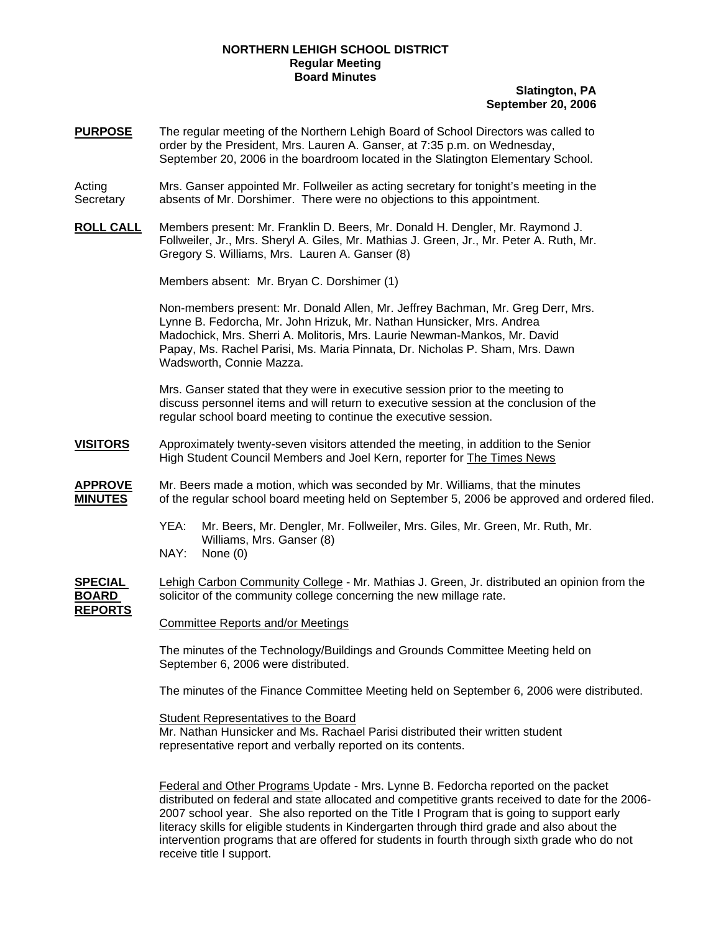## **NORTHERN LEHIGH SCHOOL DISTRICT Regular Meeting Board Minutes**

## **Slatington, PA September 20, 2006**

- **PURPOSE** The regular meeting of the Northern Lehigh Board of School Directors was called to order by the President, Mrs. Lauren A. Ganser, at 7:35 p.m. on Wednesday, September 20, 2006 in the boardroom located in the Slatington Elementary School.
- Acting Mrs. Ganser appointed Mr. Follweiler as acting secretary for tonight's meeting in the Secretary absents of Mr. Dorshimer. There were no objections to this appointment.
- **ROLL CALL** Members present: Mr. Franklin D. Beers, Mr. Donald H. Dengler, Mr. Raymond J. Follweiler, Jr., Mrs. Sheryl A. Giles, Mr. Mathias J. Green, Jr., Mr. Peter A. Ruth, Mr. Gregory S. Williams, Mrs. Lauren A. Ganser (8)

Members absent: Mr. Bryan C. Dorshimer (1)

Non-members present: Mr. Donald Allen, Mr. Jeffrey Bachman, Mr. Greg Derr, Mrs. Lynne B. Fedorcha, Mr. John Hrizuk, Mr. Nathan Hunsicker, Mrs. Andrea Madochick, Mrs. Sherri A. Molitoris, Mrs. Laurie Newman-Mankos, Mr. David Papay, Ms. Rachel Parisi, Ms. Maria Pinnata, Dr. Nicholas P. Sham, Mrs. Dawn Wadsworth, Connie Mazza.

Mrs. Ganser stated that they were in executive session prior to the meeting to discuss personnel items and will return to executive session at the conclusion of the regular school board meeting to continue the executive session.

- **VISITORS** Approximately twenty-seven visitors attended the meeting, in addition to the Senior High Student Council Members and Joel Kern, reporter for The Times News
- **APPROVE** Mr. Beers made a motion, which was seconded by Mr. Williams, that the minutes **MINUTES** of the regular school board meeting held on September 5, 2006 be approved and ordered filed.
	- YEA: Mr. Beers, Mr. Dengler, Mr. Follweiler, Mrs. Giles, Mr. Green, Mr. Ruth, Mr. Williams, Mrs. Ganser (8)
	- NAY: None (0)
- **SPECIAL** Lehigh Carbon Community College Mr. Mathias J. Green, Jr. distributed an opinion from the **BOARD** solicitor of the community college concerning the new millage rate. **REPORTS**

Committee Reports and/or Meetings

The minutes of the Technology/Buildings and Grounds Committee Meeting held on September 6, 2006 were distributed.

The minutes of the Finance Committee Meeting held on September 6, 2006 were distributed.

Student Representatives to the Board

 Mr. Nathan Hunsicker and Ms. Rachael Parisi distributed their written student representative report and verbally reported on its contents.

Federal and Other Programs Update - Mrs. Lynne B. Fedorcha reported on the packet distributed on federal and state allocated and competitive grants received to date for the 2006- 2007 school year. She also reported on the Title I Program that is going to support early literacy skills for eligible students in Kindergarten through third grade and also about the intervention programs that are offered for students in fourth through sixth grade who do not receive title I support.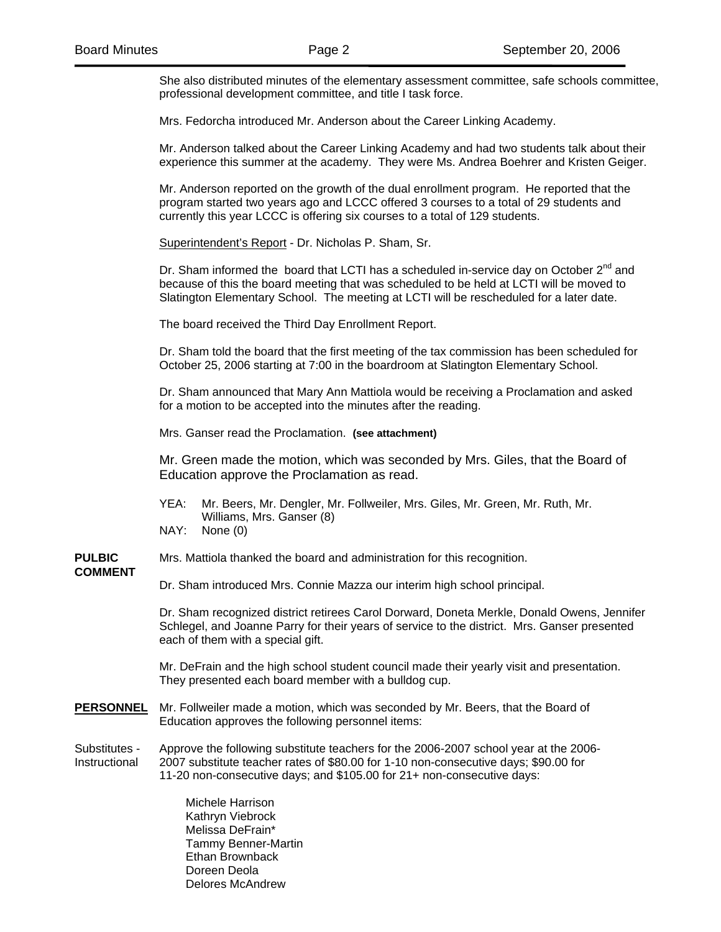She also distributed minutes of the elementary assessment committee, safe schools committee, professional development committee, and title I task force.

Mrs. Fedorcha introduced Mr. Anderson about the Career Linking Academy.

Mr. Anderson talked about the Career Linking Academy and had two students talk about their experience this summer at the academy. They were Ms. Andrea Boehrer and Kristen Geiger.

Mr. Anderson reported on the growth of the dual enrollment program. He reported that the program started two years ago and LCCC offered 3 courses to a total of 29 students and currently this year LCCC is offering six courses to a total of 129 students.

Superintendent's Report - Dr. Nicholas P. Sham, Sr.

Dr. Sham informed the board that LCTI has a scheduled in-service day on October  $2^{nd}$  and because of this the board meeting that was scheduled to be held at LCTI will be moved to Slatington Elementary School. The meeting at LCTI will be rescheduled for a later date.

The board received the Third Day Enrollment Report.

Dr. Sham told the board that the first meeting of the tax commission has been scheduled for October 25, 2006 starting at 7:00 in the boardroom at Slatington Elementary School.

Dr. Sham announced that Mary Ann Mattiola would be receiving a Proclamation and asked for a motion to be accepted into the minutes after the reading.

Mrs. Ganser read the Proclamation. **(see attachment)** 

Mr. Green made the motion, which was seconded by Mrs. Giles, that the Board of Education approve the Proclamation as read.

- YEA: Mr. Beers, Mr. Dengler, Mr. Follweiler, Mrs. Giles, Mr. Green, Mr. Ruth, Mr. Williams, Mrs. Ganser (8)
- NAY: None (0)

**PULBIC** Mrs. Mattiola thanked the board and administration for this recognition.

## **COMMENT**

Dr. Sham introduced Mrs. Connie Mazza our interim high school principal.

 Dr. Sham recognized district retirees Carol Dorward, Doneta Merkle, Donald Owens, Jennifer Schlegel, and Joanne Parry for their years of service to the district. Mrs. Ganser presented each of them with a special gift.

Mr. DeFrain and the high school student council made their yearly visit and presentation. They presented each board member with a bulldog cup.

**PERSONNEL** Mr. Follweiler made a motion, which was seconded by Mr. Beers, that the Board of Education approves the following personnel items:

Substitutes - Approve the following substitute teachers for the 2006-2007 school year at the 2006- Instructional 2007 substitute teacher rates of \$80.00 for 1-10 non-consecutive days; \$90.00 for 11-20 non-consecutive days; and \$105.00 for 21+ non-consecutive days:

> Michele Harrison Kathryn Viebrock Melissa DeFrain\* Tammy Benner-Martin Ethan Brownback Doreen Deola Delores McAndrew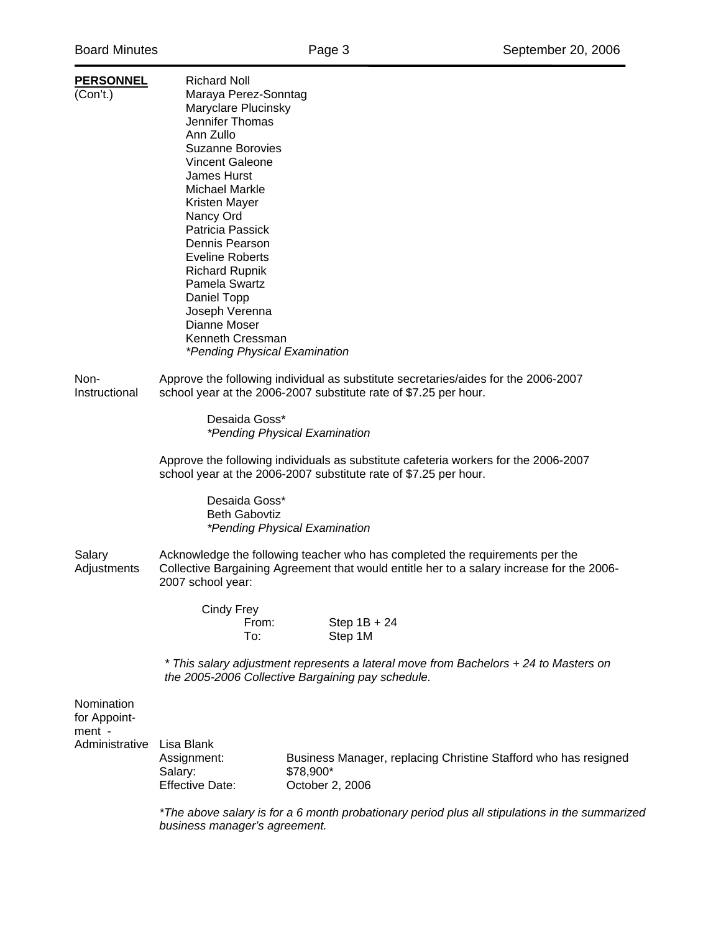| <b>PERSONNEL</b> | <b>Richard Noll</b>                                                                       |                                                                                    |  |  |
|------------------|-------------------------------------------------------------------------------------------|------------------------------------------------------------------------------------|--|--|
| (Con't.)         | Maraya Perez-Sonntag                                                                      |                                                                                    |  |  |
|                  | Maryclare Plucinsky                                                                       |                                                                                    |  |  |
|                  | Jennifer Thomas                                                                           |                                                                                    |  |  |
|                  | Ann Zullo                                                                                 |                                                                                    |  |  |
|                  | <b>Suzanne Borovies</b>                                                                   |                                                                                    |  |  |
|                  | <b>Vincent Galeone</b>                                                                    |                                                                                    |  |  |
|                  | <b>James Hurst</b>                                                                        |                                                                                    |  |  |
|                  | Michael Markle                                                                            |                                                                                    |  |  |
|                  | Kristen Mayer                                                                             |                                                                                    |  |  |
|                  | Nancy Ord                                                                                 |                                                                                    |  |  |
|                  | Patricia Passick                                                                          |                                                                                    |  |  |
|                  | Dennis Pearson                                                                            |                                                                                    |  |  |
|                  | <b>Eveline Roberts</b>                                                                    |                                                                                    |  |  |
|                  | <b>Richard Rupnik</b>                                                                     |                                                                                    |  |  |
|                  | Pamela Swartz                                                                             |                                                                                    |  |  |
|                  | Daniel Topp                                                                               |                                                                                    |  |  |
|                  | Joseph Verenna                                                                            |                                                                                    |  |  |
|                  | Dianne Moser                                                                              |                                                                                    |  |  |
|                  | Kenneth Cressman                                                                          |                                                                                    |  |  |
|                  | *Pending Physical Examination                                                             |                                                                                    |  |  |
|                  |                                                                                           |                                                                                    |  |  |
| Non-             |                                                                                           | Approve the following individual as substitute secretaries/aides for the 2006-2007 |  |  |
| Instructional    | school year at the 2006-2007 substitute rate of \$7.25 per hour.                          |                                                                                    |  |  |
|                  |                                                                                           |                                                                                    |  |  |
|                  | Desaida Goss*                                                                             |                                                                                    |  |  |
|                  |                                                                                           | *Pending Physical Examination                                                      |  |  |
|                  |                                                                                           |                                                                                    |  |  |
|                  | Approve the following individuals as substitute cafeteria workers for the 2006-2007       |                                                                                    |  |  |
|                  | school year at the 2006-2007 substitute rate of \$7.25 per hour.                          |                                                                                    |  |  |
|                  |                                                                                           |                                                                                    |  |  |
|                  | Desaida Goss*                                                                             |                                                                                    |  |  |
|                  | <b>Beth Gabovtiz</b>                                                                      |                                                                                    |  |  |
|                  | *Pending Physical Examination                                                             |                                                                                    |  |  |
|                  |                                                                                           |                                                                                    |  |  |
| Salary           | Acknowledge the following teacher who has completed the requirements per the              |                                                                                    |  |  |
| Adjustments      | Collective Bargaining Agreement that would entitle her to a salary increase for the 2006- |                                                                                    |  |  |
|                  | 2007 school year:                                                                         |                                                                                    |  |  |
|                  |                                                                                           |                                                                                    |  |  |
|                  | Cindy Frey                                                                                |                                                                                    |  |  |
|                  | From:                                                                                     | Step $1B + 24$                                                                     |  |  |
|                  | To:                                                                                       | Step 1M                                                                            |  |  |
|                  | * This salary adjustment represents a lateral move from Bachelors + 24 to Masters on      |                                                                                    |  |  |
|                  | the 2005-2006 Collective Bargaining pay schedule.                                         |                                                                                    |  |  |
|                  |                                                                                           |                                                                                    |  |  |
| Nomination       |                                                                                           |                                                                                    |  |  |
| for Appoint-     |                                                                                           |                                                                                    |  |  |
| ment -           |                                                                                           |                                                                                    |  |  |
|                  |                                                                                           |                                                                                    |  |  |
| Administrative   | Lisa Blank<br>Assignment:                                                                 | Business Manager, replacing Christine Stafford who has resigned                    |  |  |
|                  |                                                                                           | \$78,900*                                                                          |  |  |
|                  | Salary:<br><b>Effective Date:</b>                                                         |                                                                                    |  |  |
|                  |                                                                                           | October 2, 2006                                                                    |  |  |

*\*The above salary is for a 6 month probationary period plus all stipulations in the summarized business manager's agreement.*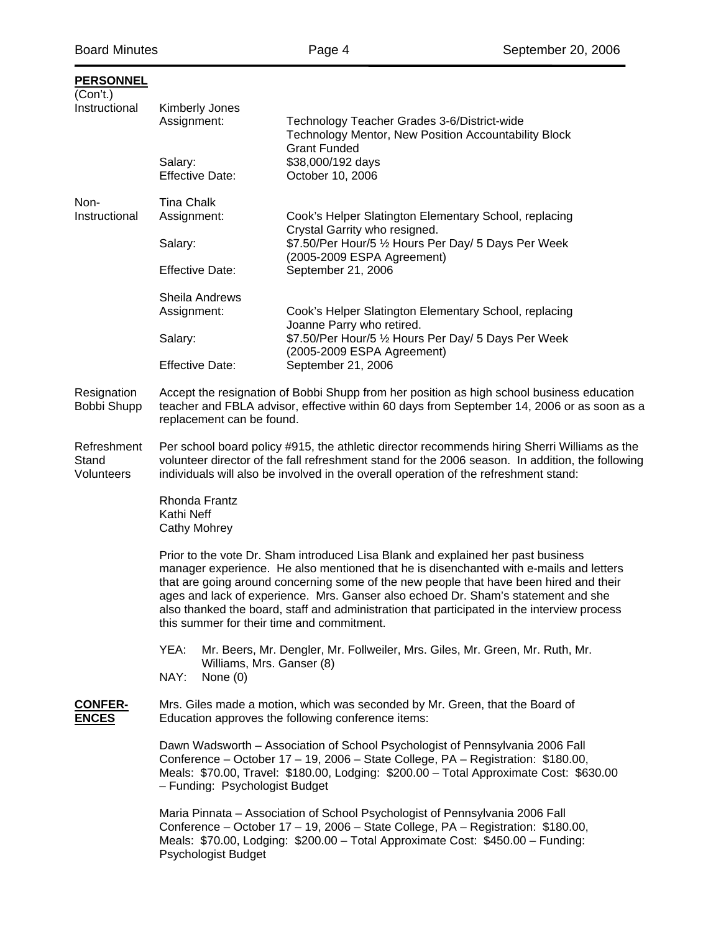| <b>PERSONNEL</b><br>(Con't.)       |                                                                                                                                                                                                                                                                                                                                                                                                                                                                                                        |                                                                                                                            |  |
|------------------------------------|--------------------------------------------------------------------------------------------------------------------------------------------------------------------------------------------------------------------------------------------------------------------------------------------------------------------------------------------------------------------------------------------------------------------------------------------------------------------------------------------------------|----------------------------------------------------------------------------------------------------------------------------|--|
| Instructional                      | Kimberly Jones<br>Assignment:                                                                                                                                                                                                                                                                                                                                                                                                                                                                          | Technology Teacher Grades 3-6/District-wide<br>Technology Mentor, New Position Accountability Block<br><b>Grant Funded</b> |  |
|                                    | Salary:<br><b>Effective Date:</b>                                                                                                                                                                                                                                                                                                                                                                                                                                                                      | \$38,000/192 days<br>October 10, 2006                                                                                      |  |
| Non-                               | <b>Tina Chalk</b>                                                                                                                                                                                                                                                                                                                                                                                                                                                                                      |                                                                                                                            |  |
| Instructional                      | Assignment:                                                                                                                                                                                                                                                                                                                                                                                                                                                                                            | Cook's Helper Slatington Elementary School, replacing<br>Crystal Garrity who resigned.                                     |  |
|                                    | Salary:                                                                                                                                                                                                                                                                                                                                                                                                                                                                                                | \$7.50/Per Hour/5 1/2 Hours Per Day/ 5 Days Per Week                                                                       |  |
|                                    | <b>Effective Date:</b>                                                                                                                                                                                                                                                                                                                                                                                                                                                                                 | (2005-2009 ESPA Agreement)<br>September 21, 2006                                                                           |  |
|                                    | Sheila Andrews                                                                                                                                                                                                                                                                                                                                                                                                                                                                                         |                                                                                                                            |  |
|                                    | Assignment:                                                                                                                                                                                                                                                                                                                                                                                                                                                                                            | Cook's Helper Slatington Elementary School, replacing<br>Joanne Parry who retired.                                         |  |
|                                    | Salary:                                                                                                                                                                                                                                                                                                                                                                                                                                                                                                | \$7.50/Per Hour/5 1/2 Hours Per Day/ 5 Days Per Week<br>(2005-2009 ESPA Agreement)                                         |  |
|                                    | <b>Effective Date:</b>                                                                                                                                                                                                                                                                                                                                                                                                                                                                                 | September 21, 2006                                                                                                         |  |
| Resignation<br>Bobbi Shupp         | Accept the resignation of Bobbi Shupp from her position as high school business education<br>teacher and FBLA advisor, effective within 60 days from September 14, 2006 or as soon as a<br>replacement can be found.                                                                                                                                                                                                                                                                                   |                                                                                                                            |  |
| Refreshment<br>Stand<br>Volunteers | Per school board policy #915, the athletic director recommends hiring Sherri Williams as the<br>volunteer director of the fall refreshment stand for the 2006 season. In addition, the following<br>individuals will also be involved in the overall operation of the refreshment stand:                                                                                                                                                                                                               |                                                                                                                            |  |
|                                    | Rhonda Frantz<br>Kathi Neff<br><b>Cathy Mohrey</b>                                                                                                                                                                                                                                                                                                                                                                                                                                                     |                                                                                                                            |  |
|                                    | Prior to the vote Dr. Sham introduced Lisa Blank and explained her past business<br>manager experience. He also mentioned that he is disenchanted with e-mails and letters<br>that are going around concerning some of the new people that have been hired and their<br>ages and lack of experience. Mrs. Ganser also echoed Dr. Sham's statement and she<br>also thanked the board, staff and administration that participated in the interview process<br>this summer for their time and commitment. |                                                                                                                            |  |
|                                    | YEA:<br>Mr. Beers, Mr. Dengler, Mr. Follweiler, Mrs. Giles, Mr. Green, Mr. Ruth, Mr.                                                                                                                                                                                                                                                                                                                                                                                                                   |                                                                                                                            |  |
|                                    | Williams, Mrs. Ganser (8)<br>NAY:<br>None $(0)$                                                                                                                                                                                                                                                                                                                                                                                                                                                        |                                                                                                                            |  |
| <b>CONFER-</b><br><b>ENCES</b>     | Mrs. Giles made a motion, which was seconded by Mr. Green, that the Board of<br>Education approves the following conference items:                                                                                                                                                                                                                                                                                                                                                                     |                                                                                                                            |  |
|                                    | Dawn Wadsworth - Association of School Psychologist of Pennsylvania 2006 Fall<br>Conference - October 17 - 19, 2006 - State College, PA - Registration: \$180.00,<br>Meals: \$70.00, Travel: \$180.00, Lodging: \$200.00 - Total Approximate Cost: \$630.00<br>- Funding: Psychologist Budget                                                                                                                                                                                                          |                                                                                                                            |  |
|                                    | Maria Pinnata - Association of School Psychologist of Pennsylvania 2006 Fall<br>Conference - October 17 - 19, 2006 - State College, PA - Registration: \$180.00,<br>Meals: \$70.00, Lodging: \$200.00 - Total Approximate Cost: \$450.00 - Funding:<br>Psychologist Budget                                                                                                                                                                                                                             |                                                                                                                            |  |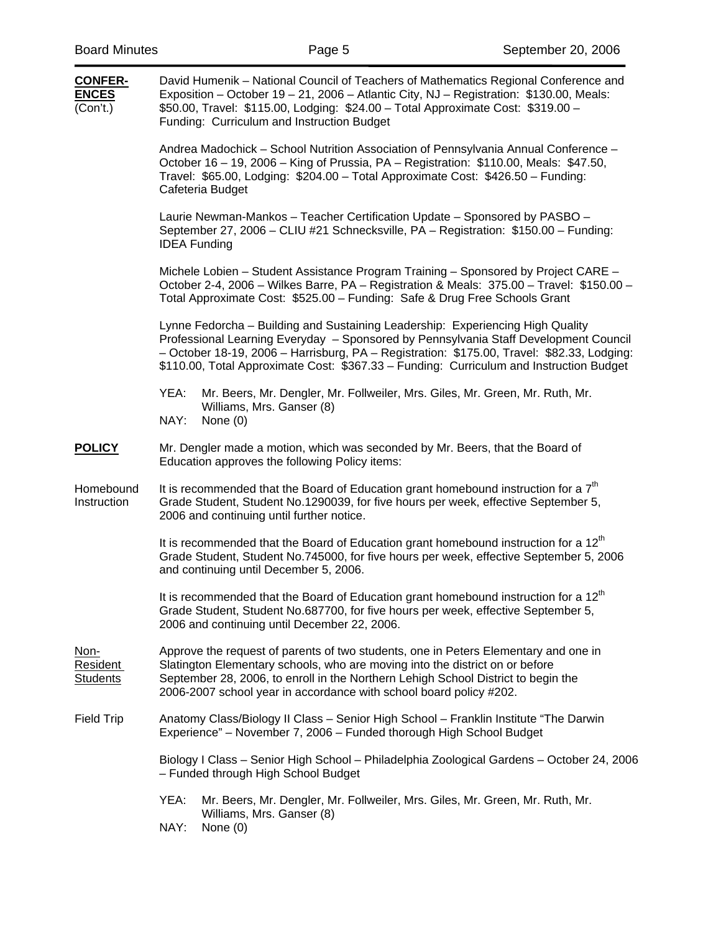| <b>CONFER-</b><br><b>ENCES</b><br>(Con't.) | David Humenik - National Council of Teachers of Mathematics Regional Conference and<br>Exposition - October 19 - 21, 2006 - Atlantic City, NJ - Registration: \$130.00, Meals:<br>\$50.00, Travel: \$115.00, Lodging: \$24.00 - Total Approximate Cost: \$319.00 -<br>Funding: Curriculum and Instruction Budget                                                |  |  |
|--------------------------------------------|-----------------------------------------------------------------------------------------------------------------------------------------------------------------------------------------------------------------------------------------------------------------------------------------------------------------------------------------------------------------|--|--|
|                                            | Andrea Madochick – School Nutrition Association of Pennsylvania Annual Conference –<br>October 16 - 19, 2006 - King of Prussia, PA - Registration: \$110.00, Meals: \$47.50,<br>Travel: \$65.00, Lodging: \$204.00 - Total Approximate Cost: \$426.50 - Funding:<br>Cafeteria Budget                                                                            |  |  |
|                                            | Laurie Newman-Mankos - Teacher Certification Update - Sponsored by PASBO -<br>September 27, 2006 - CLIU #21 Schnecksville, PA - Registration: \$150.00 - Funding:<br><b>IDEA Funding</b>                                                                                                                                                                        |  |  |
|                                            | Michele Lobien – Student Assistance Program Training – Sponsored by Project CARE –<br>October 2-4, 2006 - Wilkes Barre, PA - Registration & Meals: 375.00 - Travel: \$150.00 -<br>Total Approximate Cost: \$525.00 - Funding: Safe & Drug Free Schools Grant                                                                                                    |  |  |
|                                            | Lynne Fedorcha - Building and Sustaining Leadership: Experiencing High Quality<br>Professional Learning Everyday - Sponsored by Pennsylvania Staff Development Council<br>- October 18-19, 2006 - Harrisburg, PA - Registration: \$175.00, Travel: \$82.33, Lodging:<br>\$110.00, Total Approximate Cost: \$367.33 - Funding: Curriculum and Instruction Budget |  |  |
|                                            | YEA:<br>Mr. Beers, Mr. Dengler, Mr. Follweiler, Mrs. Giles, Mr. Green, Mr. Ruth, Mr.<br>Williams, Mrs. Ganser (8)<br>NAY:<br>None $(0)$                                                                                                                                                                                                                         |  |  |
| <b>POLICY</b>                              | Mr. Dengler made a motion, which was seconded by Mr. Beers, that the Board of<br>Education approves the following Policy items:                                                                                                                                                                                                                                 |  |  |
| Homebound<br>Instruction                   | It is recommended that the Board of Education grant homebound instruction for a $7th$<br>Grade Student, Student No.1290039, for five hours per week, effective September 5,<br>2006 and continuing until further notice.                                                                                                                                        |  |  |
|                                            | It is recommended that the Board of Education grant homebound instruction for a 12 <sup>th</sup><br>Grade Student, Student No.745000, for five hours per week, effective September 5, 2006<br>and continuing until December 5, 2006.                                                                                                                            |  |  |
|                                            | It is recommended that the Board of Education grant homebound instruction for a 12 <sup>th</sup><br>Grade Student, Student No.687700, for five hours per week, effective September 5,<br>2006 and continuing until December 22, 2006.                                                                                                                           |  |  |
| Non-<br><b>Resident</b><br><b>Students</b> | Approve the request of parents of two students, one in Peters Elementary and one in<br>Slatington Elementary schools, who are moving into the district on or before<br>September 28, 2006, to enroll in the Northern Lehigh School District to begin the<br>2006-2007 school year in accordance with school board policy #202.                                  |  |  |
| <b>Field Trip</b>                          | Anatomy Class/Biology II Class - Senior High School - Franklin Institute "The Darwin<br>Experience" - November 7, 2006 - Funded thorough High School Budget                                                                                                                                                                                                     |  |  |
|                                            | Biology I Class - Senior High School - Philadelphia Zoological Gardens - October 24, 2006<br>- Funded through High School Budget                                                                                                                                                                                                                                |  |  |
|                                            | YEA:<br>Mr. Beers, Mr. Dengler, Mr. Follweiler, Mrs. Giles, Mr. Green, Mr. Ruth, Mr.<br>Williams, Mrs. Ganser (8)                                                                                                                                                                                                                                               |  |  |
|                                            | NAY:<br>None $(0)$                                                                                                                                                                                                                                                                                                                                              |  |  |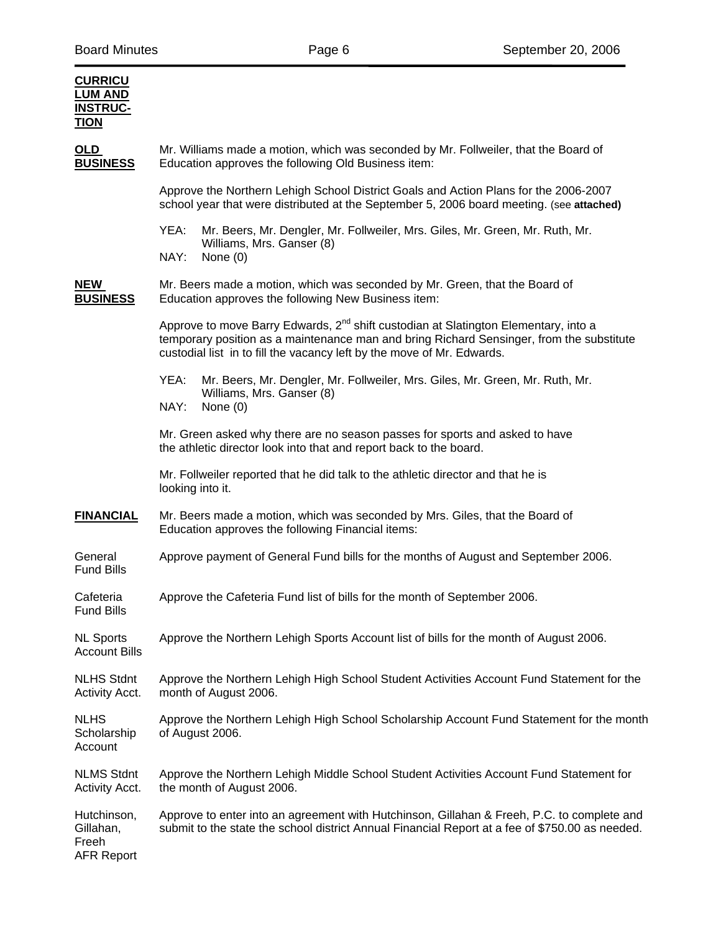| <b>CURRICU</b><br><b>LUM AND</b><br><b>INSTRUC-</b><br><b>TION</b> |                                                                                                                                                                                                                                                                       |  |  |  |
|--------------------------------------------------------------------|-----------------------------------------------------------------------------------------------------------------------------------------------------------------------------------------------------------------------------------------------------------------------|--|--|--|
| OLD<br><b>BUSINESS</b>                                             | Mr. Williams made a motion, which was seconded by Mr. Follweiler, that the Board of<br>Education approves the following Old Business item:                                                                                                                            |  |  |  |
|                                                                    | Approve the Northern Lehigh School District Goals and Action Plans for the 2006-2007<br>school year that were distributed at the September 5, 2006 board meeting. (see attached)                                                                                      |  |  |  |
|                                                                    | YEA:<br>Mr. Beers, Mr. Dengler, Mr. Follweiler, Mrs. Giles, Mr. Green, Mr. Ruth, Mr.<br>Williams, Mrs. Ganser (8)<br>NAY:<br>None $(0)$                                                                                                                               |  |  |  |
| <b>NEW</b><br><b>BUSINESS</b>                                      | Mr. Beers made a motion, which was seconded by Mr. Green, that the Board of<br>Education approves the following New Business item:                                                                                                                                    |  |  |  |
|                                                                    | Approve to move Barry Edwards, 2 <sup>nd</sup> shift custodian at Slatington Elementary, into a<br>temporary position as a maintenance man and bring Richard Sensinger, from the substitute<br>custodial list in to fill the vacancy left by the move of Mr. Edwards. |  |  |  |
|                                                                    | YEA:<br>Mr. Beers, Mr. Dengler, Mr. Follweiler, Mrs. Giles, Mr. Green, Mr. Ruth, Mr.<br>Williams, Mrs. Ganser (8)<br>NAY:<br>None (0)                                                                                                                                 |  |  |  |
|                                                                    | Mr. Green asked why there are no season passes for sports and asked to have<br>the athletic director look into that and report back to the board.                                                                                                                     |  |  |  |
|                                                                    | Mr. Follweiler reported that he did talk to the athletic director and that he is<br>looking into it.                                                                                                                                                                  |  |  |  |
| <b>FINANCIAL</b>                                                   | Mr. Beers made a motion, which was seconded by Mrs. Giles, that the Board of<br>Education approves the following Financial items:                                                                                                                                     |  |  |  |
| General<br><b>Fund Bills</b>                                       | Approve payment of General Fund bills for the months of August and September 2006.                                                                                                                                                                                    |  |  |  |
| Cafeteria<br><b>Fund Bills</b>                                     | Approve the Cafeteria Fund list of bills for the month of September 2006.                                                                                                                                                                                             |  |  |  |
| <b>NL Sports</b><br><b>Account Bills</b>                           | Approve the Northern Lehigh Sports Account list of bills for the month of August 2006.                                                                                                                                                                                |  |  |  |
| <b>NLHS Stdnt</b><br>Activity Acct.                                | Approve the Northern Lehigh High School Student Activities Account Fund Statement for the<br>month of August 2006.                                                                                                                                                    |  |  |  |
| <b>NLHS</b><br>Scholarship<br>Account                              | Approve the Northern Lehigh High School Scholarship Account Fund Statement for the month<br>of August 2006.                                                                                                                                                           |  |  |  |
| <b>NLMS Stdnt</b><br>Activity Acct.                                | Approve the Northern Lehigh Middle School Student Activities Account Fund Statement for<br>the month of August 2006.                                                                                                                                                  |  |  |  |
| Hutchinson,<br>Gillahan,<br>Freeh<br><b>AFR Report</b>             | Approve to enter into an agreement with Hutchinson, Gillahan & Freeh, P.C. to complete and<br>submit to the state the school district Annual Financial Report at a fee of \$750.00 as needed.                                                                         |  |  |  |